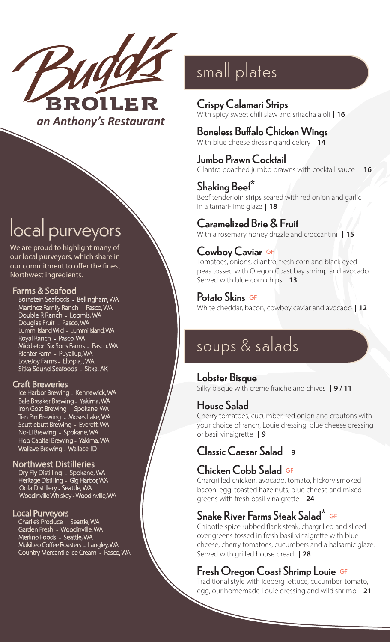

# local purveyors

We are proud to highlight many of our local purveyors, which share in our commitment to offer the finest Northwest ingredients.

#### Farms & Seafood

Bornstein Seafoods - Bellingham, WA Martinez Family Ranch - Pasco, WA Double R Ranch - Loomis, WA Douglas Fruit - Pasco, WA Lummi Island Wild - Lummi Island, WA Royal Ranch - Pasco, WA Middleton Six Sons Farms - Pasco, WA Richter Farm - Puyallup, WA LoveJoy Farms - Eltopia, , WA Sitka Sound Seafoods - Sitka, AK

#### Craft Breweries

Ice Harbor Brewing - Kennewick, WA Bale Breaker Brewing - Yakima, WA Iron Goat Brewing - Spokane, WA Ten Pin Brewing - Moses Lake, WA Scuttlebutt Brewing - Everett, WA No-Li Brewing - Spokane, WA Hop Capital Brewing - Yakima, WA Wallave Brewing - Wallace, ID

#### Northwest Distilleries

Dry Fly Distilling - Spokane, WA Heritage Distilling - Gig Harbor, WA Oola Distillery - Seattle, WA Woodinville Whiskey - Woodinville, WA

#### Local Purveyors

Charlie's Produce - Seattle, WA Garden Fresh - Woodinville, WA Merlino Foods - Seattle, WA Mukilteo Coffee Roasters - Langley, WA Country Mercantile Ice Cream - Pasco, WA

# small plates

#### Crispy Calamari Strips With spicy sweet chili slaw and sriracha aioli **16**

## Boneless Buffalo Chicken Wings

With blue cheese dressing and celery **14**

Jumbo Prawn Cocktail Cilantro poached jumbo prawns with cocktail sauce **16**

## Shaking Beef\*

Beef tenderloin strips seared with red onion and garlic in a tamari-lime glaze **18**

#### Caramelized Brie & Fruit

With a rosemary honey drizzle and croccantini **15**

#### Cowboy Caviar GF

Tomatoes, onions, cilantro, fresh corn and black eyed peas tossed with Oregon Coast bay shrimp and avocado. Served with blue corn chips **13**

Potato Skins GF White cheddar, bacon, cowboy caviar and avocado **12**

## soups & salads

#### Lobster Bisque

Silky bisque with creme fraiche and chives **9 / 11**

#### House Salad

Cherry tomatoes, cucumber, red onion and croutons with your choice of ranch, Louie dressing, blue cheese dressing or basil vinaigrette **9**

### Classic Caesar Salad **<sup>9</sup>**

### Chicken Cobb Salad GF

Chargrilled chicken, avocado, tomato, hickory smoked bacon, egg, toasted hazelnuts, blue cheese and mixed greens with fresh basil vinaigrette **24**

#### Snake River Farms Steak Salad\* GF

Chipotle spice rubbed flank steak, chargrilled and sliced over greens tossed in fresh basil vinaigrette with blue cheese, cherry tomatoes, cucumbers and a balsamic glaze. Served with grilled house bread **28**

#### Fresh Oregon Coast Shrimp Louie GF

Traditional style with iceberg lettuce, cucumber, tomato, egg, our homemade Louie dressing and wild shrimp **21**